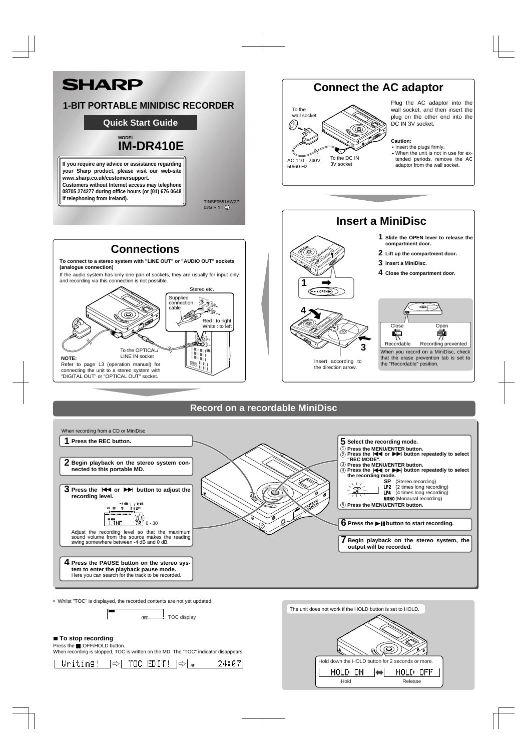Press the **E**:OFF/HOLD button. When recording is stopped, TOC is written on the MD. The "TOC" indicator disappears.



Whilst "TOC" is displayed, the recorded contents are not yet updated.

- TOC display  $Toc$ 

## ■ To stop recording



**tem to enter the playback pause mode.** Here you can search for the track to be recorded.